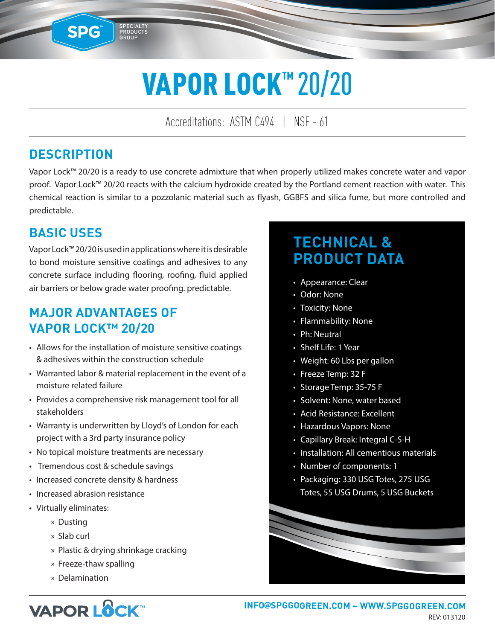# VAPOR LOCK™ 20/20

Accreditations: ASTM C494 | NSF - 61

#### **DESCRIPTION**

SPG™

SPECIALTY<br>PRODUCTS<br>GROUP

Vapor Lock™ 20/20 is a ready to use concrete admixture that when properly utilized makes concrete water and vapor proof. Vapor Lock™ 20/20 reacts with the calcium hydroxide created by the Portland cement reaction with water. This chemical reaction is similar to a pozzolanic material such as flyash, GGBFS and silica fume, but more controlled and predictable.

#### **BASIC USES**

Vapor Lock™ 20/20 is used in applications where it is desirable to bond moisture sensitive coatings and adhesives to any concrete surface including flooring, roofing, fluid applied air barriers or below grade water proofing. predictable.

#### **MAJOR ADVANTAGES OF VAPOR LOCK™ 20/20**

- Allows for the installation of moisture sensitive coatings & adhesives within the construction schedule
- Warranted labor & material replacement in the event of a moisture related failure
- Provides a comprehensive risk management tool for all stakeholders
- Warranty is underwritten by Lloyd's of London for each project with a 3rd party insurance policy
- No topical moisture treatments are necessary
- Tremendous cost & schedule savings
- Increased concrete density & hardness
- Increased abrasion resistance
- Virtually eliminates:
	- » Dusting
	- » Slab curl
	- » Plastic & drying shrinkage cracking
	- » Freeze-thaw spalling
	- » Delamination

## **TECHNICAL & PRODUCT DATA**

- Appearance: Clear
- Odor: None
- Toxicity: None
- Flammability: None
- Ph: Neutral
- Shelf Life: 1 Year
- Weight: 60 Lbs per gallon
- Freeze Temp: 32 F
- Storage Temp: 35-75 F
- Solvent: None, water based
- Acid Resistance: Excellent
- Hazardous Vapors: None
- Capillary Break: Integral C-S-H
- Installation: All cementious materials
- Number of components: 1
- Packaging: 330 USG Totes, 275 USG Totes, 55 USG Drums, 5 USG Buckets